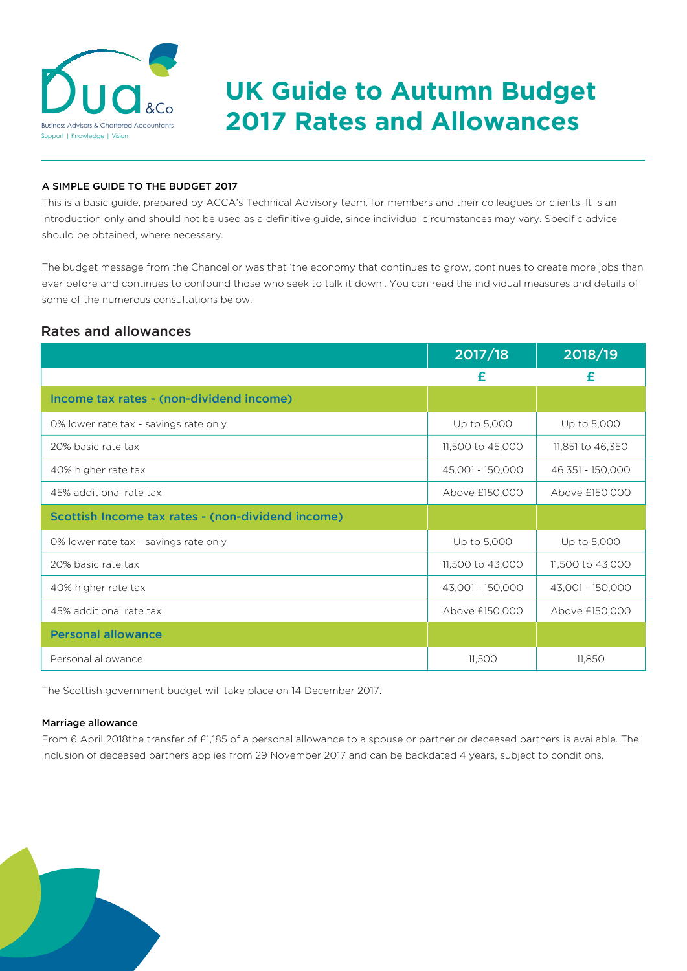

# **DUCI ACO BUSING URGUIDE TO Autumn Budget**<br>2017 Rates and Allowances

# A SIMPLE GUIDE TO THE BUDGET 2017

This is a basic guide, prepared by ACCA's Technical Advisory team, for members and their colleagues or clients. It is an introduction only and should not be used as a definitive guide, since individual circumstances may vary. Specific advice should be obtained, where necessary.

The budget message from the Chancellor was that 'the economy that continues to grow, continues to create more jobs than ever before and continues to confound those who seek to talk it down'. You can read the individual measures and details of some of the numerous consultations below.

# Rates and allowances

|                                                   | 2017/18          | 2018/19          |
|---------------------------------------------------|------------------|------------------|
|                                                   | £                | £                |
| Income tax rates - (non-dividend income)          |                  |                  |
| 0% lower rate tax - savings rate only             | Up to 5,000      | Up to 5,000      |
| 20% basic rate tax                                | 11,500 to 45,000 | 11,851 to 46,350 |
| 40% higher rate tax                               | 45,001 - 150,000 | 46,351 - 150,000 |
| 45% additional rate tax                           | Above £150,000   | Above £150,000   |
| Scottish Income tax rates - (non-dividend income) |                  |                  |
| 0% lower rate tax - savings rate only             | Up to 5,000      | Up to 5,000      |
| 20% basic rate tax                                | 11,500 to 43,000 | 11,500 to 43,000 |
| 40% higher rate tax                               | 43,001 - 150,000 | 43,001 - 150,000 |
| 45% additional rate tax                           | Above £150,000   | Above £150,000   |
| <b>Personal allowance</b>                         |                  |                  |
| Personal allowance                                | 11,500           | 11,850           |

The Scottish government budget will take place on 14 December 2017.

## Marriage allowance

From 6 April 2018the transfer of £1,185 of a personal allowance to a spouse or partner or deceased partners is available. The inclusion of deceased partners applies from 29 November 2017 and can be backdated 4 years, subject to conditions.

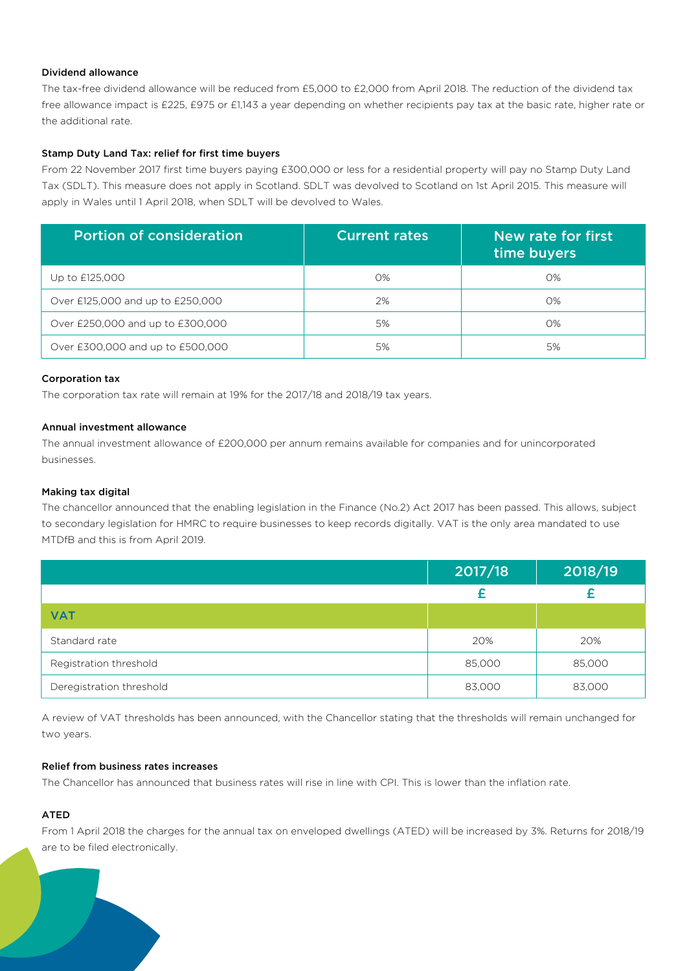# Dividend allowance

The tax-free dividend allowance will be reduced from £5,000 to £2,000 from April 2018. The reduction of the dividend tax free allowance impact is £225, £975 or £1,143 a year depending on whether recipients pay tax at the basic rate, higher rate or the additional rate.

# Stamp Duty Land Tax: relief for first time buyers

From 22 November 2017 first time buyers paying £300,000 or less for a residential property will pay no Stamp Duty Land Tax (SDLT). This measure does not apply in Scotland. SDLT was devolved to Scotland on 1st April 2015. This measure will apply in Wales until 1 April 2018, when SDLT will be devolved to Wales.

| <b>Portion of consideration</b>  | <b>Current rates</b> | New rate for first<br>time buyers |
|----------------------------------|----------------------|-----------------------------------|
| Up to £125,000                   | 0%                   | 0%                                |
| Over £125,000 and up to £250,000 | 2%                   | 0%                                |
| Over £250,000 and up to £300,000 | 5%                   | 0%                                |
| Over £300,000 and up to £500,000 | 5%                   | 5%                                |

### Corporation tax

The corporation tax rate will remain at 19% for the 2017/18 and 2018/19 tax years.

# Annual investment allowance

The annual investment allowance of £200,000 per annum remains available for companies and for unincorporated businesses.

# Making tax digital

The chancellor announced that the enabling legislation in the Finance (No.2) Act 2017 has been passed. This allows, subject to secondary legislation for HMRC to require businesses to keep records digitally. VAT is the only area mandated to use MTDfB and this is from April 2019.

|                          | 2017/18 | 2018/19 |
|--------------------------|---------|---------|
|                          |         |         |
| <b>VAT</b>               |         |         |
| Standard rate            | 20%     | 20%     |
| Registration threshold   | 85,000  | 85,000  |
| Deregistration threshold | 83,000  | 83,000  |

A review of VAT thresholds has been announced, with the Chancellor stating that the thresholds will remain unchanged for two years.

# Relief from business rates increases

The Chancellor has announced that business rates will rise in line with CPI. This is lower than the inflation rate.

# ATED

From 1 April 2018 the charges for the annual tax on enveloped dwellings (ATED) will be increased by 3%. Returns for 2018/19 are to be filed electronically.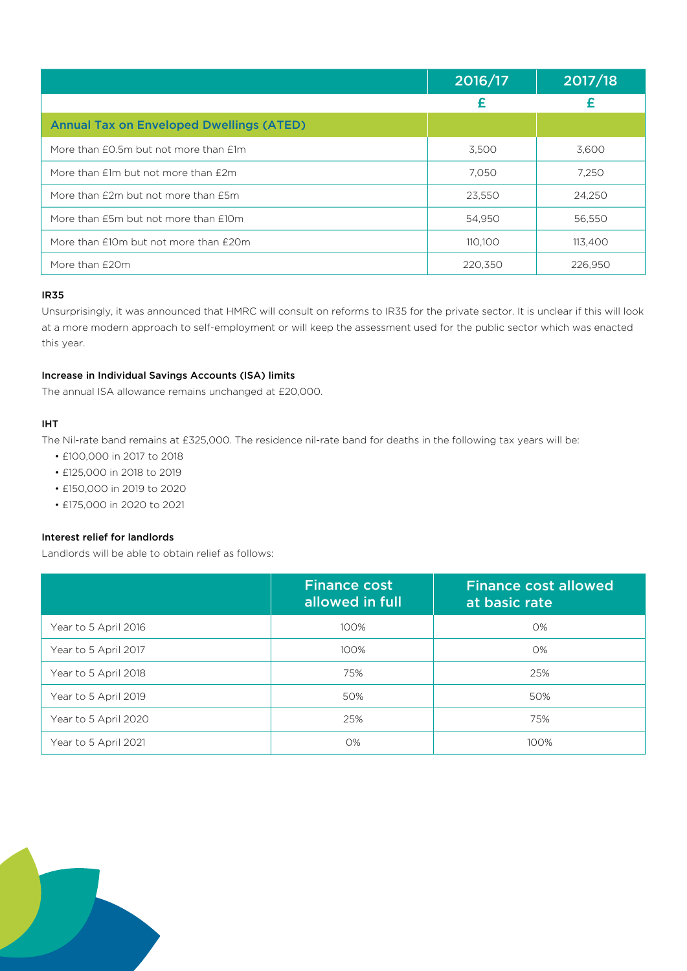|                                                 | 2016/17 | 2017/18 |
|-------------------------------------------------|---------|---------|
|                                                 | £       |         |
| <b>Annual Tax on Enveloped Dwellings (ATED)</b> |         |         |
| More than £0.5m but not more than £1m           | 3,500   | 3,600   |
| More than $f$ 1m but not more than $f$ 2m       | 7.050   | 7,250   |
| More than £2m but not more than £5m             | 23,550  | 24.250  |
| More than £5m but not more than £10m            | 54,950  | 56,550  |
| More than £10m but not more than £20m           | 110.100 | 113,400 |
| More than £20m                                  | 220,350 | 226,950 |

# IR35

Unsurprisingly, it was announced that HMRC will consult on reforms to IR35 for the private sector. It is unclear if this will look at a more modern approach to self-employment or will keep the assessment used for the public sector which was enacted this year.

# Increase in Individual Savings Accounts (ISA) limits

The annual ISA allowance remains unchanged at £20,000.

# IHT

The Nil-rate band remains at £325,000. The residence nil-rate band for deaths in the following tax years will be:

- £100,000 in 2017 to 2018
- £125,000 in 2018 to 2019
- £150,000 in 2019 to 2020
- £175,000 in 2020 to 2021

# Interest relief for landlords

Landlords will be able to obtain relief as follows:

|                      | <b>Finance cost</b><br>allowed in full | <b>Finance cost allowed</b><br>at basic rate |
|----------------------|----------------------------------------|----------------------------------------------|
| Year to 5 April 2016 | 100%                                   | 0%                                           |
| Year to 5 April 2017 | 100%                                   | 0%                                           |
| Year to 5 April 2018 | 75%                                    | 25%                                          |
| Year to 5 April 2019 | 50%                                    | 50%                                          |
| Year to 5 April 2020 | 25%                                    | 75%                                          |
| Year to 5 April 2021 | 0%                                     | 100%                                         |